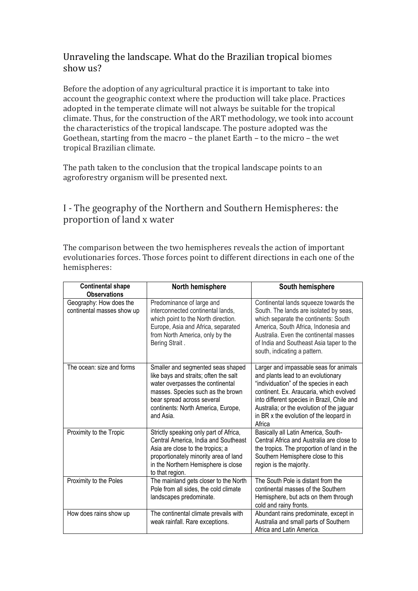# Unraveling the landscape. What do the Brazilian tropical biomes show us?

Before the adoption of any agricultural practice it is important to take into account the geographic context where the production will take place. Practices adopted in the temperate climate will not always be suitable for the tropical climate. Thus, for the construction of the ART methodology, we took into account the characteristics of the tropical landscape. The posture adopted was the Goethean, starting from the macro – the planet Earth – to the micro – the wet tropical Brazilian climate.

The path taken to the conclusion that the tropical landscape points to an agroforestry organism will be presented next.

# I - The geography of the Northern and Southern Hemispheres: the proportion of land x water

The comparison between the two hemispheres reveals the action of important evolutionaries forces. Those forces point to different directions in each one of the hemispheres:

| <b>Continental shape</b><br><b>Observations</b>       | North hemisphere                                                                                                                                                                                                                     | South hemisphere                                                                                                                                                                                                                                                                                                   |
|-------------------------------------------------------|--------------------------------------------------------------------------------------------------------------------------------------------------------------------------------------------------------------------------------------|--------------------------------------------------------------------------------------------------------------------------------------------------------------------------------------------------------------------------------------------------------------------------------------------------------------------|
| Geography: How does the<br>continental masses show up | Predominance of large and<br>interconnected continental lands,<br>which point to the North direction.<br>Europe, Asia and Africa, separated<br>from North America, only by the<br>Bering Strait.                                     | Continental lands squeeze towards the<br>South. The lands are isolated by seas,<br>which separate the continents: South<br>America, South Africa, Indonesia and<br>Australia. Even the continental masses<br>of India and Southeast Asia taper to the<br>south, indicating a pattern.                              |
| The ocean: size and forms                             | Smaller and segmented seas shaped<br>like bays and straits; often the salt<br>water overpasses the continental<br>masses. Species such as the brown<br>bear spread across several<br>continents: North America, Europe,<br>and Asia. | Larger and impassable seas for animals<br>and plants lead to an evolutionary<br>"individuation" of the species in each<br>continent. Ex. Araucaria, which evolved<br>into different species in Brazil, Chile and<br>Australia; or the evolution of the jaguar<br>in BR x the evolution of the leopard in<br>Africa |
| Proximity to the Tropic                               | Strictly speaking only part of Africa,<br>Central America, India and Southeast<br>Asia are close to the tropics; a<br>proportionately minority area of land<br>in the Northern Hemisphere is close<br>to that region.                | Basically all Latin America, South-<br>Central Africa and Australia are close to<br>the tropics. The proportion of land in the<br>Southern Hemisphere close to this<br>region is the majority.                                                                                                                     |
| Proximity to the Poles                                | The mainland gets closer to the North<br>Pole from all sides, the cold climate<br>landscapes predominate.                                                                                                                            | The South Pole is distant from the<br>continental masses of the Southern<br>Hemisphere, but acts on them through<br>cold and rainy fronts.                                                                                                                                                                         |
| How does rains show up                                | The continental climate prevails with<br>weak rainfall. Rare exceptions.                                                                                                                                                             | Abundant rains predominate, except in<br>Australia and small parts of Southern<br>Africa and Latin America.                                                                                                                                                                                                        |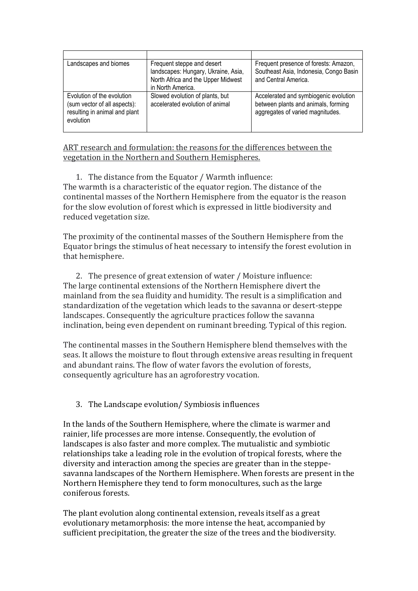| Landscapes and biomes                                                                                    | Frequent steppe and desert<br>landscapes: Hungary, Ukraine, Asia,<br>North Africa and the Upper Midwest<br>in North America. | Frequent presence of forests: Amazon,<br>Southeast Asia, Indonesia, Congo Basin<br>and Central America.          |
|----------------------------------------------------------------------------------------------------------|------------------------------------------------------------------------------------------------------------------------------|------------------------------------------------------------------------------------------------------------------|
| Evolution of the evolution<br>(sum vector of all aspects):<br>resulting in animal and plant<br>evolution | Slowed evolution of plants, but<br>accelerated evolution of animal                                                           | Accelerated and symbiogenic evolution<br>between plants and animals, forming<br>aggregates of varied magnitudes. |

ART research and formulation: the reasons for the differences between the vegetation in the Northern and Southern Hemispheres.

1. The distance from the Equator / Warmth influence: The warmth is a characteristic of the equator region. The distance of the continental masses of the Northern Hemisphere from the equator is the reason for the slow evolution of forest which is expressed in little biodiversity and reduced vegetation size.

The proximity of the continental masses of the Southern Hemisphere from the Equator brings the stimulus of heat necessary to intensify the forest evolution in that hemisphere.

2. The presence of great extension of water / Moisture influence: The large continental extensions of the Northern Hemisphere divert the mainland from the sea fluidity and humidity. The result is a simplification and standardization of the vegetation which leads to the savanna or desert-steppe landscapes. Consequently the agriculture practices follow the savanna inclination, being even dependent on ruminant breeding. Typical of this region.

The continental masses in the Southern Hemisphere blend themselves with the seas. It allows the moisture to flout through extensive areas resulting in frequent and abundant rains. The flow of water favors the evolution of forests, consequently agriculture has an agroforestry vocation.

## 3. The Landscape evolution/ Symbiosis influences

In the lands of the Southern Hemisphere, where the climate is warmer and rainier, life processes are more intense. Consequently, the evolution of landscapes is also faster and more complex. The mutualistic and symbiotic relationships take a leading role in the evolution of tropical forests, where the diversity and interaction among the species are greater than in the steppesavanna landscapes of the Northern Hemisphere. When forests are present in the Northern Hemisphere they tend to form monocultures, such as the large coniferous forests.

The plant evolution along continental extension, reveals itself as a great evolutionary metamorphosis: the more intense the heat, accompanied by sufficient precipitation, the greater the size of the trees and the biodiversity.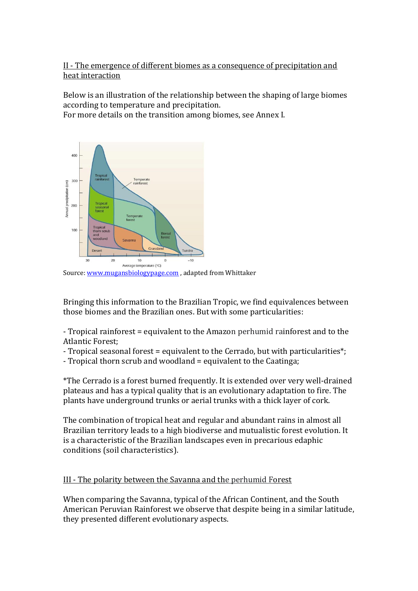# II - The emergence of different biomes as a consequence of precipitation and heat interaction

Below is an illustration of the relationship between the shaping of large biomes according to temperature and precipitation.

For more details on the transition among biomes, see Annex I.



Source: [www.mugansbiologypage.com](http://www.mugansbiologypage.com/) , adapted from Whittaker

Bringing this information to the Brazilian Tropic, we find equivalences between those biomes and the Brazilian ones. But with some particularities:

- Tropical rainforest = equivalent to the Amazon perhumid rainforest and to the Atlantic Forest;

- Tropical seasonal forest = equivalent to the Cerrado, but with particularities\*;

- Tropical thorn scrub and woodland = equivalent to the Caatinga;

\*The Cerrado is a forest burned frequently. It is extended over very well-drained plateaus and has a typical quality that is an evolutionary adaptation to fire. The plants have underground trunks or aerial trunks with a thick layer of cork.

The combination of tropical heat and regular and abundant rains in almost all Brazilian territory leads to a high biodiverse and mutualistic forest evolution. It is a characteristic of the Brazilian landscapes even in precarious edaphic conditions (soil characteristics).

## III - The polarity between the Savanna and the perhumid Forest

When comparing the Savanna, typical of the African Continent, and the South American Peruvian Rainforest we observe that despite being in a similar latitude, they presented different evolutionary aspects.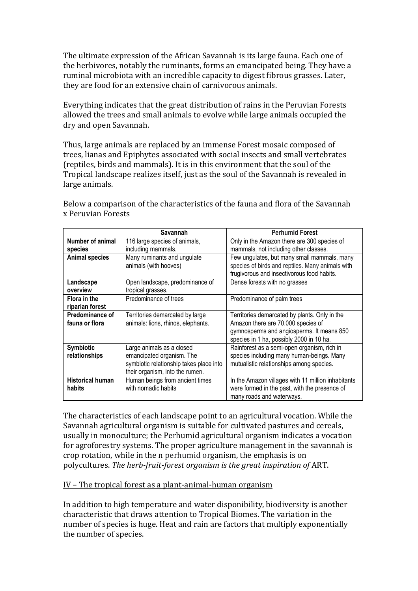The ultimate expression of the African Savannah is its large fauna. Each one of the herbivores, notably the ruminants, forms an emancipated being. They have a ruminal microbiota with an incredible capacity to digest fibrous grasses. Later, they are food for an extensive chain of carnivorous animals.

Everything indicates that the great distribution of rains in the Peruvian Forests allowed the trees and small animals to evolve while large animals occupied the dry and open Savannah.

Thus, large animals are replaced by an immense Forest mosaic composed of trees, lianas and Epiphytes associated with social insects and small vertebrates (reptiles, birds and mammals). It is in this environment that the soul of the Tropical landscape realizes itself, just as the soul of the Savannah is revealed in large animals.

|                                   | Savannah                                                                                                                             | <b>Perhumid Forest</b>                                                                                                                                                       |
|-----------------------------------|--------------------------------------------------------------------------------------------------------------------------------------|------------------------------------------------------------------------------------------------------------------------------------------------------------------------------|
| Number of animal<br>species       | 116 large species of animals,<br>including mammals.                                                                                  | Only in the Amazon there are 300 species of<br>mammals, not including other classes.                                                                                         |
| <b>Animal species</b>             | Many ruminants and ungulate<br>animals (with hooves)                                                                                 | Few ungulates, but many small mammals, many<br>species of birds and reptiles. Many animals with<br>frugivorous and insectivorous food habits.                                |
| Landscape<br>overview             | Open landscape, predominance of<br>tropical grasses.                                                                                 | Dense forests with no grasses                                                                                                                                                |
| Flora in the<br>riparian forest   | Predominance of trees                                                                                                                | Predominance of palm trees                                                                                                                                                   |
| Predominance of<br>fauna or flora | Territories demarcated by large<br>animals: lions, rhinos, elephants.                                                                | Territories demarcated by plants. Only in the<br>Amazon there are 70.000 species of<br>gymnosperms and angiosperms. It means 850<br>species in 1 ha, possibly 2000 in 10 ha. |
| Symbiotic<br>relationships        | Large animals as a closed<br>emancipated organism. The<br>symbiotic relationship takes place into<br>their organism, into the rumen. | Rainforest as a semi-open organism, rich in<br>species including many human-beings. Many<br>mutualistic relationships among species.                                         |
| <b>Historical human</b><br>habits | Human beings from ancient times<br>with nomadic habits                                                                               | In the Amazon villages with 11 million inhabitants<br>were formed in the past, with the presence of<br>many roads and waterways.                                             |

Below a comparison of the characteristics of the fauna and flora of the Savannah x Peruvian Forests

The characteristics of each landscape point to an agricultural vocation. While the Savannah agricultural organism is suitable for cultivated pastures and cereals, usually in monoculture; the Perhumid agricultural organism indicates a vocation for agroforestry systems. The proper agriculture management in the savannah is crop rotation, while in the n perhumid organism, the emphasis is on polycultures. *The herb-fruit-forest organism is the great inspiration of* ART.

## IV – The tropical forest as a plant-animal-human organism

In addition to high temperature and water disponibility, biodiversity is another characteristic that draws attention to Tropical Biomes. The variation in the number of species is huge. Heat and rain are factors that multiply exponentially the number of species.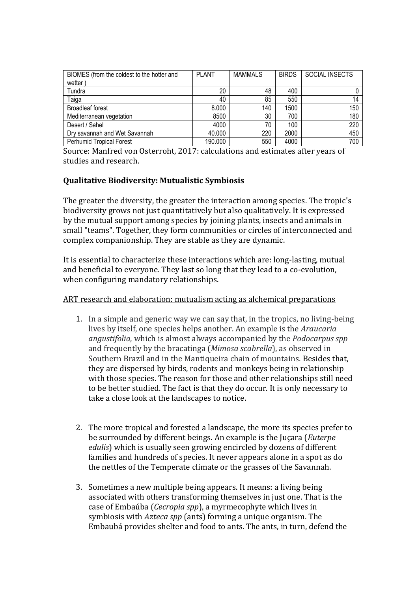| BIOMES (from the coldest to the hotter and | <b>PLANT</b> | <b>MAMMALS</b> | <b>BIRDS</b> | <b>SOCIAL INSECTS</b> |
|--------------------------------------------|--------------|----------------|--------------|-----------------------|
| wetter                                     |              |                |              |                       |
| Tundra                                     | 20           | 48             | 400          |                       |
| Taiga                                      | 40           | 85             | 550          |                       |
| <b>Broadleaf forest</b>                    | 8.000        | 140            | 1500         | 150                   |
| Mediterranean vegetation                   | 8500         | 30             | 700          | 180                   |
| Desert / Sahel                             | 4000         | 70             | 100          | 220                   |
| Dry savannah and Wet Savannah              | 40.000       | 220            | 2000         | 450                   |
| <b>Perhumid Tropical Forest</b>            | 190.000      | 550            | 4000         | 700                   |

Source: Manfred von Osterroht, 2017: calculations and estimates after years of studies and research.

# **Qualitative Biodiversity: Mutualistic Symbiosis**

The greater the diversity, the greater the interaction among species. The tropic's biodiversity grows not just quantitatively but also qualitatively. It is expressed by the mutual support among species by joining plants, insects and animals in small "teams". Together, they form communities or circles of interconnected and complex companionship. They are stable as they are dynamic.

It is essential to characterize these interactions which are: long-lasting, mutual and beneficial to everyone. They last so long that they lead to a co-evolution, when configuring mandatory relationships.

#### ART research and elaboration: mutualism acting as alchemical preparations

- 1. In a simple and generic way we can say that, in the tropics, no living-being lives by itself, one species helps another. An example is the *Araucaria angustifolia*, which is almost always accompanied by the *Podocarpus spp*  and frequently by the bracatinga (*Mimosa scabrella*), as observed in Southern Brazil and in the Mantiqueira chain of mountains. Besides that, they are dispersed by birds, rodents and monkeys being in relationship with those species. The reason for those and other relationships still need to be better studied. The fact is that they do occur. It is only necessary to take a close look at the landscapes to notice.
- 2. The more tropical and forested a landscape, the more its species prefer to be surrounded by different beings. An example is the Juçara (*Euterpe edulis*) which is usually seen growing encircled by dozens of different families and hundreds of species. It never appears alone in a spot as do the nettles of the Temperate climate or the grasses of the Savannah.
- 3. Sometimes a new multiple being appears. It means: a living being associated with others transforming themselves in just one. That is the case of Embaúba (*Cecropia spp*), a myrmecophyte which lives in symbiosis with *Azteca spp* (ants) forming a unique organism. The Embaubá provides shelter and food to ants. The ants, in turn, defend the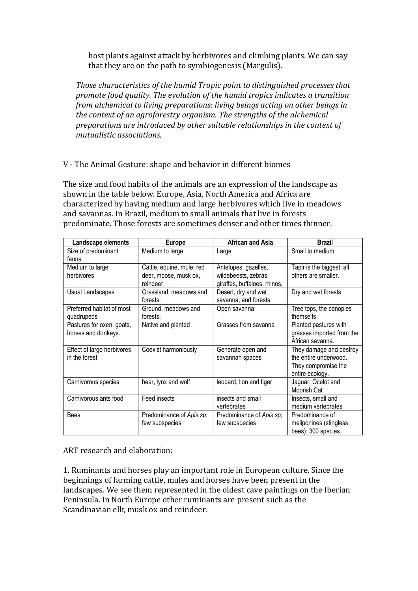host plants against attack by herbivores and climbing plants. We can say that they are on the path to symbiogenesis (Margulis).

*Those characteristics of the humid Tropic point to distinguished processes that promote food quality. The evolution of the humid tropics indicates a transition from alchemical to living preparations: living beings acting on other beings in the context of an agroforestry organism. The strengths of the alchemical preparations are introduced by other suitable relationships in the context of mutualistic associations.*

V - The Animal Gesture: shape and behavior in different biomes

The size and food habits of the animals are an expression of the landscape as shown in the table below. Europe, Asia, North America and Africa are characterized by having medium and large herbivores which live in meadows and savannas. In Brazil, medium to small animals that live in forests predominate. Those forests are sometimes denser and other times thinner.

| Landscape elements         | <b>Europe</b>             | <b>African and Asia</b>      | <b>Brazil</b>             |
|----------------------------|---------------------------|------------------------------|---------------------------|
| Size of predominant        | Medium to large           | Large                        | Small to medium           |
| fauna                      |                           |                              |                           |
| Medium to large            | Cattle, equine, mule, red | Antelopes, gazelles,         | Tapir is the biggest; all |
| herbivores                 | deer, moose, musk ox,     | wildebeests, zebras,         | others are smaller.       |
|                            | reindeer.                 | giraffes, buffaloes, rhinos, |                           |
| Usual Landscapes           | Grassland, meadows and    | Desert, dry and wet          | Dry and wet forests       |
|                            | forests.                  | savanna, and forests.        |                           |
| Preferred habitat of most  | Ground, meadows and       | Open savanna                 | Tree tops, the canopies   |
| quadrupeds                 | forests.                  |                              | themselfs                 |
| Pastures for oxen, goats,  | Native and planted        | Grasses from savanna         | Planted pastures with     |
| horses and donkeys.        |                           |                              | grasses imported from the |
|                            |                           |                              | African savanna.          |
| Effect of large herbivores | Coexist harmoniously      | Generate open and            | They damage and destroy   |
| in the forest              |                           | savannah spaces              | the entire underwood.     |
|                            |                           |                              | They compromise the       |
|                            |                           |                              | entire ecology.           |
| Carnivorous species        | bear, lynx and wolf       | leopard, lion and tiger      | Jaguar, Ocelot and        |
|                            |                           |                              | Moorish Cat               |
| Carnivorous ants food      | Feed insects              | insects and small            | Insects, small and        |
|                            |                           | vertebrates                  | medium vertebrates        |
| <b>Bees</b>                | Predominance of Apis sp;  | Predominance of Apis sp;     | Predominance of           |
|                            | few subspecies            | few subspecies               | meliponines (stingless    |
|                            |                           |                              | bees): 300 species.       |

ART research and elaboration:

1. Ruminants and horses play an important role in European culture. Since the beginnings of farming cattle, mules and horses have been present in the landscapes. We see them represented in the oldest cave paintings on the Iberian Peninsula. In North Europe other ruminants are present such as the Scandinavian elk, musk ox and reindeer.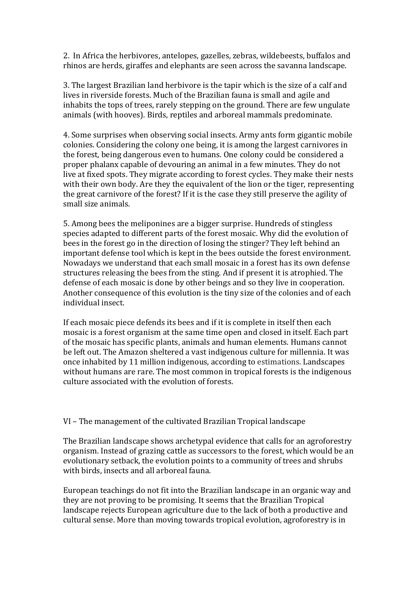2. In Africa the herbivores, antelopes, gazelles, zebras, wildebeests, buffalos and rhinos are herds, giraffes and elephants are seen across the savanna landscape.

3. The largest Brazilian land herbivore is the tapir which is the size of a calf and lives in riverside forests. Much of the Brazilian fauna is small and agile and inhabits the tops of trees, rarely stepping on the ground. There are few ungulate animals (with hooves). Birds, reptiles and arboreal mammals predominate.

4. Some surprises when observing social insects. Army ants form gigantic mobile colonies. Considering the colony one being, it is among the largest carnivores in the forest, being dangerous even to humans. One colony could be considered a proper phalanx capable of devouring an animal in a few minutes. They do not live at fixed spots. They migrate according to forest cycles. They make their nests with their own body. Are they the equivalent of the lion or the tiger, representing the great carnivore of the forest? If it is the case they still preserve the agility of small size animals.

5. Among bees the meliponines are a bigger surprise. Hundreds of stingless species adapted to different parts of the forest mosaic. Why did the evolution of bees in the forest go in the direction of losing the stinger? They left behind an important defense tool which is kept in the bees outside the forest environment. Nowadays we understand that each small mosaic in a forest has its own defense structures releasing the bees from the sting. And if present it is atrophied. The defense of each mosaic is done by other beings and so they live in cooperation. Another consequence of this evolution is the tiny size of the colonies and of each individual insect.

If each mosaic piece defends its bees and if it is complete in itself then each mosaic is a forest organism at the same time open and closed in itself. Each part of the mosaic has specific plants, animals and human elements. Humans cannot be left out. The Amazon sheltered a vast indigenous culture for millennia. It was once inhabited by 11 million indigenous, according to estimations. Landscapes without humans are rare. The most common in tropical forests is the indigenous culture associated with the evolution of forests.

VI – The management of the cultivated Brazilian Tropical landscape

The Brazilian landscape shows archetypal evidence that calls for an agroforestry organism. Instead of grazing cattle as successors to the forest, which would be an evolutionary setback, the evolution points to a community of trees and shrubs with birds, insects and all arboreal fauna.

European teachings do not fit into the Brazilian landscape in an organic way and they are not proving to be promising. It seems that the Brazilian Tropical landscape rejects European agriculture due to the lack of both a productive and cultural sense. More than moving towards tropical evolution, agroforestry is in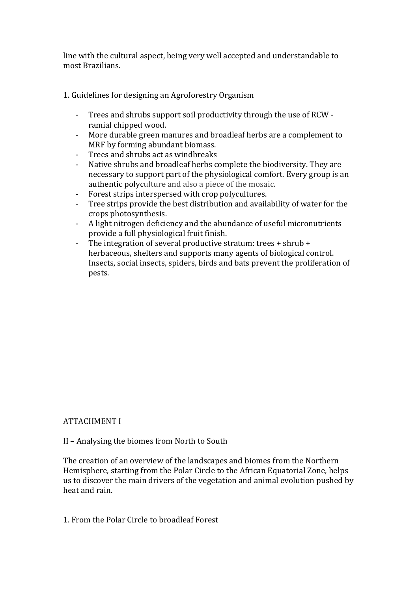line with the cultural aspect, being very well accepted and understandable to most Brazilians.

1. Guidelines for designing an Agroforestry Organism

- Trees and shrubs support soil productivity through the use of RCW ramial chipped wood.
- More durable green manures and broadleaf herbs are a complement to MRF by forming abundant biomass.
- Trees and shrubs act as windbreaks
- Native shrubs and broadleaf herbs complete the biodiversity. They are necessary to support part of the physiological comfort. Every group is an authentic polyculture and also a piece of the mosaic.
- Forest strips interspersed with crop polycultures.
- Tree strips provide the best distribution and availability of water for the crops photosynthesis.
- A light nitrogen deficiency and the abundance of useful micronutrients provide a full physiological fruit finish.
- The integration of several productive stratum: trees + shrub + herbaceous, shelters and supports many agents of biological control. Insects, social insects, spiders, birds and bats prevent the proliferation of pests.

# ATTACHMENT I

II – Analysing the biomes from North to South

The creation of an overview of the landscapes and biomes from the Northern Hemisphere, starting from the Polar Circle to the African Equatorial Zone, helps us to discover the main drivers of the vegetation and animal evolution pushed by heat and rain.

1. From the Polar Circle to broadleaf Forest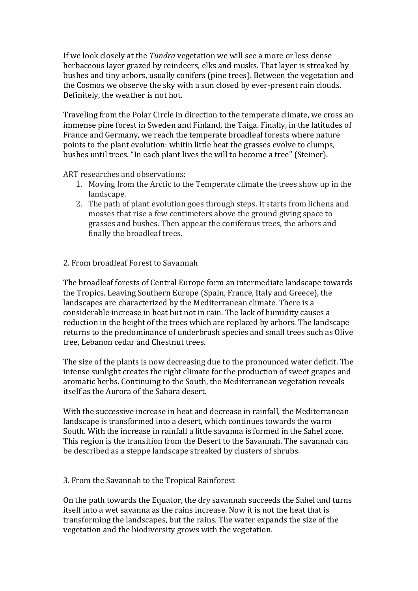If we look closely at the *Tundra* vegetation we will see a more or less dense herbaceous layer grazed by reindeers, elks and musks. That layer is streaked by bushes and tiny arbors, usually conifers (pine trees). Between the vegetation and the Cosmos we observe the sky with a sun closed by ever-present rain clouds. Definitely, the weather is not hot.

Traveling from the Polar Circle in direction to the temperate climate, we cross an immense pine forest in Sweden and Finland, the Taiga. Finally, in the latitudes of France and Germany, we reach the temperate broadleaf forests where nature points to the plant evolution: whitin little heat the grasses evolve to clumps, bushes until trees. "In each plant lives the will to become a tree" (Steiner).

#### ART researches and observations:

- 1. Moving from the Arctic to the Temperate climate the trees show up in the landscape.
- 2. The path of plant evolution goes through steps. It starts from lichens and mosses that rise a few centimeters above the ground giving space to grasses and bushes. Then appear the coniferous trees, the arbors and finally the broadleaf trees.

# 2. From broadleaf Forest to Savannah

The broadleaf forests of Central Europe form an intermediate landscape towards the Tropics. Leaving Southern Europe (Spain, France, Italy and Greece), the landscapes are characterized by the Mediterranean climate. There is a considerable increase in heat but not in rain. The lack of humidity causes a reduction in the height of the trees which are replaced by arbors. The landscape returns to the predominance of underbrush species and small trees such as Olive tree, Lebanon cedar and Chestnut trees.

The size of the plants is now decreasing due to the pronounced water deficit. The intense sunlight creates the right climate for the production of sweet grapes and aromatic herbs. Continuing to the South, the Mediterranean vegetation reveals itself as the Aurora of the Sahara desert.

With the successive increase in heat and decrease in rainfall, the Mediterranean landscape is transformed into a desert, which continues towards the warm South. With the increase in rainfall a little savanna is formed in the Sahel zone. This region is the transition from the Desert to the Savannah. The savannah can be described as a steppe landscape streaked by clusters of shrubs.

## 3. From the Savannah to the Tropical Rainforest

On the path towards the Equator, the dry savannah succeeds the Sahel and turns itself into a wet savanna as the rains increase. Now it is not the heat that is transforming the landscapes, but the rains. The water expands the size of the vegetation and the biodiversity grows with the vegetation.